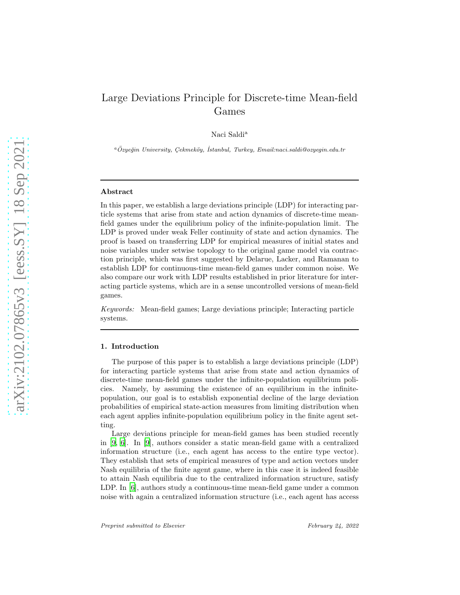# Large Deviations Principle for Discrete-time Mean-field Games

Naci Saldi<sup>a</sup>

<sup>a</sup>*Ozye˘gin University, C¸ ekmek¨oy, ¨ ˙Istanbul, Turkey, Email:naci.saldi@ozyegin.edu.tr*

#### Abstract

In this paper, we establish a large deviations principle (LDP) for interacting particle systems that arise from state and action dynamics of discrete-time meanfield games under the equilibrium policy of the infinite-population limit. The LDP is proved under weak Feller continuity of state and action dynamics. The proof is based on transferring LDP for empirical measures of initial states and noise variables under setwise topology to the original game model via contraction principle, which was first suggested by Delarue, Lacker, and Ramanan to establish LDP for continuous-time mean-field games under common noise. We also compare our work with LDP results established in prior literature for interacting particle systems, which are in a sense uncontrolled versions of mean-field games.

Keywords: Mean-field games; Large deviations principle; Interacting particle systems.

#### 1. Introduction

The purpose of this paper is to establish a large deviations principle (LDP) for interacting particle systems that arise from state and action dynamics of discrete-time mean-field games under the infinite-population equilibrium policies. Namely, by assuming the existence of an equilibrium in the infinitepopulation, our goal is to establish exponential decline of the large deviation probabilities of empirical state-action measures from limiting distribution when each agent applies infinite-population equilibrium policy in the finite agent setting.

Large deviations principle for mean-field games has been studied recently in [\[9,](#page-16-0) [6\]](#page-16-1). In [\[9](#page-16-0)], authors consider a static mean-field game with a centralized information structure (i.e., each agent has access to the entire type vector). They establish that sets of empirical measures of type and action vectors under Nash equilibria of the finite agent game, where in this case it is indeed feasible to attain Nash equilibria due to the centralized information structure, satisfy LDP. In [\[6](#page-16-1)], authors study a continuous-time mean-field game under a common noise with again a centralized information structure (i.e., each agent has access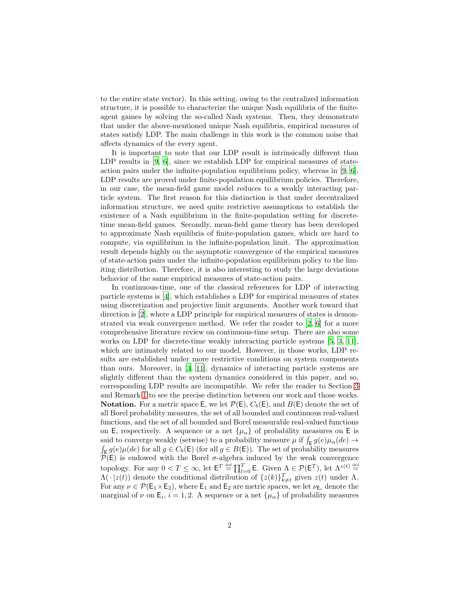to the entire state vector). In this setting, owing to the centralized information structure, it is possible to characterize the unique Nash equilibria of the finiteagent games by solving the so-called Nash systems. Then, they demonstrate that under the above-mentioned unique Nash equilibria, empirical measures of states satisfy LDP. The main challenge in this work is the common noise that affects dynamics of the every agent.

It is important to note that our LDP result is intrinsically different than LDP results in [\[9,](#page-16-0) [6](#page-16-1)], since we establish LDP for empirical measures of stateaction pairs under the infinite-population equilibrium policy, whereas in [\[9,](#page-16-0) [6\]](#page-16-1), LDP results are proved under finite-population equilibrium policies. Therefore, in our case, the mean-field game model reduces to a weakly interacting particle system. The first reason for this distinction is that under decentralized information structure, we need quite restrictive assumptions to establish the existence of a Nash equilibrium in the finite-population setting for discretetime mean-field games. Secondly, mean-field game theory has been developed to approximate Nash equilibria of finite-population games, which are hard to compute, via equilibrium in the infinite-population limit. The approximation result depends highly on the asymptotic convergence of the empirical measures of state-action pairs under the infinite-population equilibrium policy to the limiting distribution. Therefore, it is also interesting to study the large deviations behavior of the same empirical measures of state-action pairs.

In continuous-time, one of the classical references for LDP of interacting particle systems is [\[4\]](#page-16-2), which establishes a LDP for empirical measures of states using discretization and projective limit arguments. Another work toward that direction is [\[2\]](#page-16-3), where a LDP principle for empirical measures of states is demonstrated via weak convergence method. We refer the reader to [\[2](#page-16-3), [6\]](#page-16-1) for a more comprehensive literature review on continuous-time setup. There are also some works on LDP for discrete-time weakly interacting particle systems [\[5,](#page-16-4) [3](#page-16-5), [11\]](#page-17-0), which are intimately related to our model. However, in those works, LDP results are established under more restrictive conditions on system components than ours. Moreover, in [\[3](#page-16-5), [11](#page-17-0)], dynamics of interacting particle systems are slightly different than the system dynamics considered in this paper, and so, corresponding LDP results are incompatible. We refer the reader to Section [3](#page-5-0) and Remark [1](#page-15-0) to see the precise distinction between our work and those works. **Notation.** For a metric space E, we let  $\mathcal{P}(E)$ ,  $C_b(E)$ , and  $B(E)$  denote the set of all Borel probability measures, the set of all bounded and continuous real-valued functions, and the set of all bounded and Borel measurable real-valued functions on E, respectively. A sequence or a net  $\{\mu_{\alpha}\}\$  of probability measures on E is said to converge weakly (setwise) to a probability measure  $\mu$  if  $\int_{\mathsf{E}} g(e) \mu_{\alpha}(de) \rightarrow$  $\int_{\mathsf{E}} g(e) \mu(de)$  for all  $g \in C_b(\mathsf{E})$  (for all  $g \in B(\mathsf{E})$ ). The set of probability measures  $\overline{\mathcal{P}}(E)$  is endowed with the Borel  $\sigma$ -algebra induced by the weak convergence topology. For any  $0 < T \leq \infty$ , let  $\mathsf{E}^T \stackrel{\text{def}}{=} \prod_{t=0}^T \mathsf{E}$ . Given  $\Lambda \in \mathcal{P}(\mathsf{E}^T)$ , let  $\Lambda^{z(t)} \stackrel{\text{def}}{=}$  $\Lambda(\cdot | z(t))$  denote the conditional distribution of  $\{z(k)\}_{k\neq t}^T$  given  $z(t)$  under  $\Lambda$ . For any  $\nu \in \mathcal{P}(\mathsf{E}_1 \times \mathsf{E}_2)$ , where  $\mathsf{E}_1$  and  $\mathsf{E}_2$  are metric spaces, we let  $\nu_{\mathsf{E}_i}$  denote the marginal of  $\nu$  on  $\mathsf{E}_i$ ,  $i = 1, 2$ . A sequence or a net  $\{\mu_\alpha\}$  of probability measures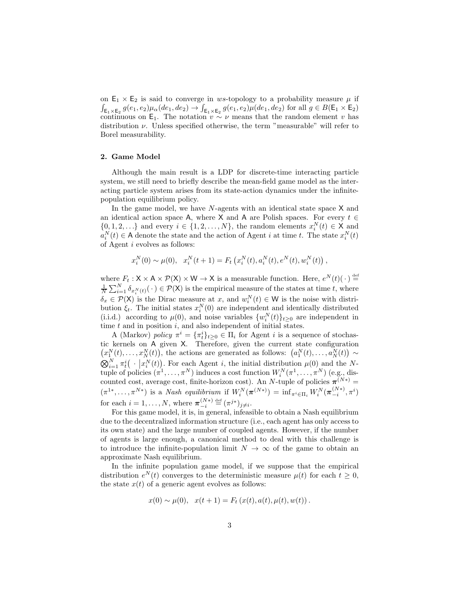on  $E_1 \times E_2$  is said to converge in ws-topology to a probability measure  $\mu$  if  $\int_{\mathsf{E}_1\times\mathsf{E}_2} g(e_1,e_2)\mu_{\alpha}(de_1,de_2)\rightarrow \int_{\mathsf{E}_1\times\mathsf{E}_2} g(e_1,e_2)\mu(de_1,de_2) \text{ for all } g\in B(\mathsf{E}_1\times\mathsf{E}_2)$ continuous on E<sub>1</sub>. The notation  $v \sim \nu$  means that the random element v has distribution  $\nu$ . Unless specified otherwise, the term "measurable" will refer to Borel measurability.

# 2. Game Model

Although the main result is a LDP for discrete-time interacting particle system, we still need to briefly describe the mean-field game model as the interacting particle system arises from its state-action dynamics under the infinitepopulation equilibrium policy.

In the game model, we have  $N$ -agents with an identical state space  $X$  and an identical action space A, where X and A are Polish spaces. For every  $t \in$  $\{0, 1, 2, \ldots\}$  and every  $i \in \{1, 2, \ldots, N\}$ , the random elements  $x_i^N(t) \in X$  and  $a_i^N(t) \in A$  denote the state and the action of Agent *i* at time *t*. The state  $x_i^N(t)$ of Agent i evolves as follows:

$$
x_i^N(0) \sim \mu(0), \quad x_i^N(t+1) = F_t\left(x_i^N(t), a_i^N(t), e^N(t), w_i^N(t)\right),
$$

where  $F_t: \mathsf{X} \times \mathsf{A} \times \mathcal{P}(\mathsf{X}) \times \mathsf{W} \to \mathsf{X}$  is a measurable function. Here,  $e^N(t)(\cdot) \stackrel{\text{def}}{=}$  $\frac{1}{N}\sum_{i=1}^N \delta_{x_i^N(t)}(\cdot) \in \mathcal{P}(\mathsf{X})$  is the empirical measure of the states at time t, where  $\delta_x \in \mathcal{P}(\mathsf{X})$  is the Dirac measure at x, and  $w_i^N(t) \in \mathsf{W}$  is the noise with distribution  $\xi_t$ . The initial states  $x_i^N(0)$  are independent and identically distributed (i.i.d.) according to  $\mu(0)$ , and noise variables  $\{w_i^N(t)\}_{t\geq 0}$  are independent in time  $t$  and in position  $i$ , and also independent of initial states.

A (Markov) policy  $\pi^i = {\pi_t^i}_{t \geq 0} \in \Pi_i$  for Agent i is a sequence of stochastic kernels on A given X. Therefore, given the current state configuration  $(x_1^N(t),...,x_N^N(t))$ , the actions are generated as follows:  $(a_1^N(t),...,a_N^N(t)) \sim$  $\bigotimes_{i=1}^{N} \pi_t^i(\cdot | x_i^N(t))$ . For each Agent i, the initial distribution  $\mu(0)$  and the Ntuple of policies  $(\pi^1, \ldots, \pi^N)$  induces a cost function  $W_i^N(\pi^1, \ldots, \pi^N)$  (e.g., discounted cost, average cost, finite-horizon cost). An N-tuple of policies  $\pi^{(N*)} =$  $(\pi^{1*},\ldots,\pi^{N*})$  is a *Nash equilibrium* if  $W_i^N(\pi^{(N*)}) = \inf_{\pi^i\in\Pi_i} W_i^N(\pi^{(N*)}_{-i},\pi^i)$ for each  $i = 1, ..., N$ , where  $\boldsymbol{\pi}_{-i}^{(N*)} \stackrel{\text{def}}{=} (\pi^{j*})_{j \neq i}$ .

For this game model, it is, in general, infeasible to obtain a Nash equilibrium due to the decentralized information structure (i.e., each agent has only access to its own state) and the large number of coupled agents. However, if the number of agents is large enough, a canonical method to deal with this challenge is to introduce the infinite-population limit  $N \to \infty$  of the game to obtain an approximate Nash equilibrium.

In the infinite population game model, if we suppose that the empirical distribution  $e^N(t)$  converges to the deterministic measure  $\mu(t)$  for each  $t \geq 0$ , the state  $x(t)$  of a generic agent evolves as follows:

$$
x(0) \sim \mu(0), \quad x(t+1) = F_t(x(t), a(t), \mu(t), w(t)).
$$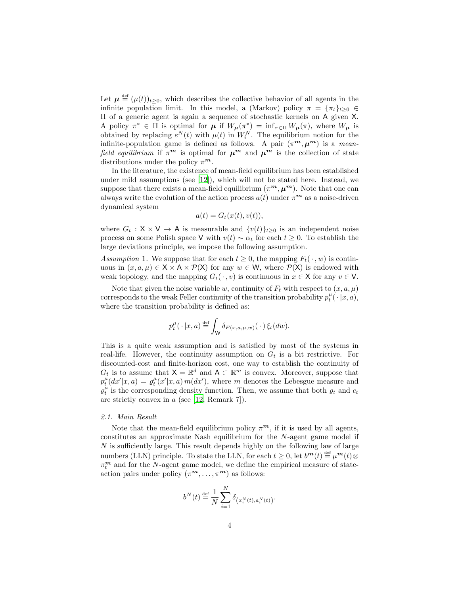Let  $\mu \stackrel{\text{def}}{=} (\mu(t))_{t \geq 0}$ , which describes the collective behavior of all agents in the infinite population limit. In this model, a (Markov) policy  $\pi = {\pi_t}_{t\geq 0} \in$ Π of a generic agent is again a sequence of stochastic kernels on A given X. A policy  $\pi^* \in \Pi$  is optimal for  $\mu$  if  $W_{\mu}(\pi^*) = \inf_{\pi \in \Pi} W_{\mu}(\pi)$ , where  $W_{\mu}$  is obtained by replacing  $e^N(t)$  with  $\mu(t)$  in  $W_i^N$ . The equilibrium notion for the infinite-population game is defined as follows. A pair  $(\pi^m, \mu^m)$  is a meanfield equilibrium if  $\pi^m$  is optimal for  $\mu^m$  and  $\mu^m$  is the collection of state distributions under the policy  $\pi^m$ .

In the literature, the existence of mean-field equilibrium has been established under mild assumptions (see [\[12](#page-17-1)]), which will not be stated here. Instead, we suppose that there exists a mean-field equilibrium  $(\pi^m, \mu^m)$ . Note that one can always write the evolution of the action process  $a(t)$  under  $\pi^m$  as a noise-driven dynamical system

$$
a(t) = G_t(x(t), v(t)),
$$

where  $G_t : X \times V \to A$  is measurable and  $\{v(t)\}_{t>0}$  is an independent noise process on some Polish space V with  $v(t) \sim \alpha_t$  for each  $t \geq 0$ . To establish the large deviations principle, we impose the following assumption.

<span id="page-3-0"></span>Assumption 1. We suppose that for each  $t \geq 0$ , the mapping  $F_t(\cdot, w)$  is continuous in  $(x, a, \mu) \in X \times A \times \mathcal{P}(X)$  for any  $w \in W$ , where  $\mathcal{P}(X)$  is endowed with weak topology, and the mapping  $G_t(\cdot, v)$  is continuous in  $x \in \mathsf{X}$  for any  $v \in \mathsf{V}$ .

Note that given the noise variable w, continuity of  $F_t$  with respect to  $(x, a, \mu)$ corresponds to the weak Feller continuity of the transition probability  $p_t^{\mu}(\cdot | x, a)$ , where the transition probability is defined as:

$$
p_t^{\mu}(\cdot | x, a) \stackrel{\text{def}}{=} \int_{\mathsf{W}} \delta_{F(x, a, \mu, w)}(\cdot) \xi_t(dw).
$$

This is a quite weak assumption and is satisfied by most of the systems in real-life. However, the continuity assumption on  $G_t$  is a bit restrictive. For discounted-cost and finite-horizon cost, one way to establish the continuity of  $G_t$  is to assume that  $\mathsf{X} = \mathbb{R}^d$  and  $\mathsf{A} \subset \mathbb{R}^m$  is convex. Moreover, suppose that  $p_t^{\mu}(dx'|x, a) = \varrho_t^{\mu}(x'|x, a) m(dx')$ , where m denotes the Lebesgue measure and  $\varrho_t^{\mu}$  is the corresponding density function. Then, we assume that both  $\varrho_t$  and  $c_t$ are strictly convex in a (see [\[12](#page-17-1), Remark 7]).

### 2.1. Main Result

Note that the mean-field equilibrium policy  $\pi^m$ , if it is used by all agents, constitutes an approximate Nash equilibrium for the N-agent game model if  $N$  is sufficiently large. This result depends highly on the following law of large numbers (LLN) principle. To state the LLN, for each  $t \geq 0$ , let  $b^{\mathbf{m}}(t) \stackrel{\text{def}}{=} \mu^{\mathbf{m}}(t) \otimes$  $\pi^{\boldsymbol{m}}_t$  and for the N-agent game model, we define the empirical measure of stateaction pairs under policy  $(\pi^m, \ldots, \pi^m)$  as follows:

$$
b^N(t) \stackrel{\text{\tiny def}}{=} \frac{1}{N} \sum_{i=1}^N \delta_{\left(x_i^N(t), a_i^N(t)\right)}
$$

.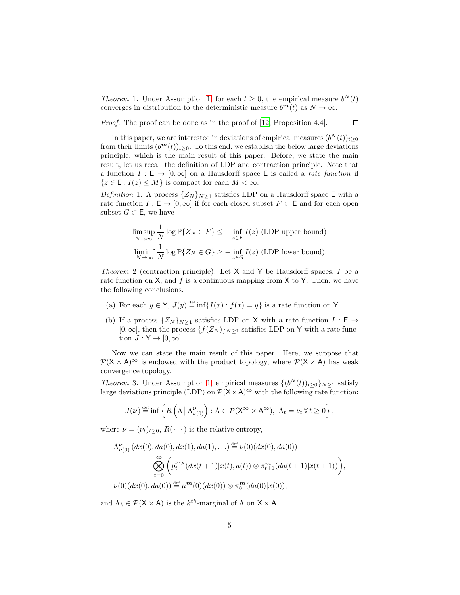*Theorem* 1. Under Assumption [1,](#page-3-0) for each  $t \geq 0$ , the empirical measure  $b^N(t)$ converges in distribution to the deterministic measure  $b^m(t)$  as  $N \to \infty$ .

Proof. The proof can be done as in the proof of [\[12](#page-17-1), Proposition 4.4].

 $\Box$ 

In this paper, we are interested in deviations of empirical measures  $(b^N(t))_{t\geq 0}$ from their limits  $(b^{m}(t))_{t\geq0}$ . To this end, we establish the below large deviations principle, which is the main result of this paper. Before, we state the main result, let us recall the definition of LDP and contraction principle. Note that a function  $I : E \to [0, \infty]$  on a Hausdorff space E is called a *rate function* if  $\{z \in \mathsf{E} : I(z) \leq M\}$  is compact for each  $M < \infty$ .

*Definition* 1. A process  $\{Z_N\}_{N\geq 1}$  satisfies LDP on a Hausdorff space E with a rate function  $I : \mathsf{E} \to [0, \infty]$  if for each closed subset  $F \subset \mathsf{E}$  and for each open subset  $G \subset \mathsf{E}$ , we have

$$
\limsup_{N \to \infty} \frac{1}{N} \log \mathbb{P}\{Z_N \in F\} \le - \inf_{z \in F} I(z)
$$
 (LDP upper bound)  

$$
\liminf_{N \to \infty} \frac{1}{N} \log \mathbb{P}\{Z_N \in G\} \ge - \inf_{z \in G} I(z)
$$
 (LDP lower bound).

<span id="page-4-1"></span>Theorem 2 (contraction principle). Let  $X$  and  $Y$  be Hausdorff spaces, I be a rate function on  $X$ , and  $f$  is a continuous mapping from  $X$  to  $Y$ . Then, we have the following conclusions.

- (a) For each  $y \in Y$ ,  $J(y) \stackrel{\text{def}}{=} \inf \{ I(x) : f(x) = y \}$  is a rate function on Y.
- (b) If a process  $\{Z_N\}_{N\geq 1}$  satisfies LDP on X with a rate function  $I : \mathsf{E} \to$  $[0, \infty]$ , then the process  $\{f(Z_N)\}_{N\geq 1}$  satisfies LDP on Y with a rate function  $J: Y \to [0, \infty]$ .

Now we can state the main result of this paper. Here, we suppose that  $\mathcal{P}(X \times A)$ <sup>∞</sup> is endowed with the product topology, where  $\mathcal{P}(X \times A)$  has weak convergence topology.

<span id="page-4-0"></span>*Theorem* 3. Under Assumption [1,](#page-3-0) empirical measures  $\{(b^N(t))_{t\geq0}\}_{N\geq1}$  satisfy large deviations principle (LDP) on  $\mathcal{P}(\mathsf{X} \times \mathsf{A})^{\infty}$  with the following rate function:

$$
J(\nu) \stackrel{\text{def}}{=} \inf \left\{ R\left(\Lambda \,|\, \Lambda_{\nu(0)}^{\nu}\right) : \Lambda \in \mathcal{P}(\mathsf{X}^{\infty} \times \mathsf{A}^{\infty}), \ \Lambda_t = \nu_t \ \forall \ t \geq 0 \right\},
$$

where  $\boldsymbol{\nu} = (\nu_t)_{t>0}, R(\cdot | \cdot)$  is the relative entropy,

$$
\Lambda_{\nu(0)}^{\nu}(dx(0), da(0), dx(1), da(1),...) \stackrel{\text{def}}{=} \nu(0)(dx(0), da(0))
$$
  

$$
\bigotimes_{t=0}^{\infty} \left( p_t^{\nu_t x} (dx(t+1)|x(t), a(t)) \otimes \pi_{t+1}^m (da(t+1)|x(t+1)) \right),
$$
  

$$
\nu(0)(dx(0), da(0)) \stackrel{\text{def}}{=} \mu^m(0)(dx(0)) \otimes \pi_0^m(da(0)|x(0)),
$$

and  $\Lambda_k \in \mathcal{P}(\mathsf{X} \times \mathsf{A})$  is the  $k^{th}$ -marginal of  $\Lambda$  on  $\mathsf{X} \times \mathsf{A}$ .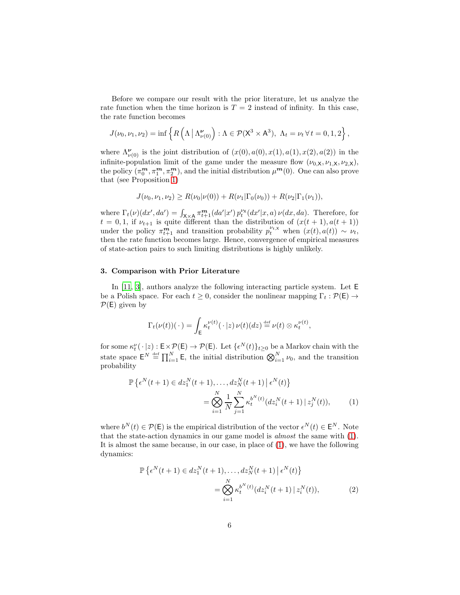Before we compare our result with the prior literature, let us analyze the rate function when the time horizon is  $T = 2$  instead of infinity. In this case, the rate function becomes

$$
J(\nu_0, \nu_1, \nu_2) = \inf \left\{ R\left(\Lambda \,|\, \Lambda_{\nu(0)}^{\nu}\right) : \Lambda \in \mathcal{P}(\mathsf{X}^3 \times \mathsf{A}^3), \ \Lambda_t = \nu_t \ \forall \ t = 0, 1, 2 \right\},\
$$

where  $\Lambda_{\nu(0)}^{\nu}$  is the joint distribution of  $(x(0), a(0), x(1), a(1), x(2), a(2))$  in the infinite-population limit of the game under the measure flow  $(\nu_{0,X}, \nu_{1,X}, \nu_{2,X}),$ the policy  $(\pi_0^m, \pi_1^m, \pi_2^m)$ , and the initial distribution  $\mu^m(0)$ . One can also prove that (see Proposition [1\)](#page-6-0)

$$
J(\nu_0, \nu_1, \nu_2) \ge R(\nu_0 | \nu(0)) + R(\nu_1 | \Gamma_0(\nu_0)) + R(\nu_2 | \Gamma_1(\nu_1)),
$$

where  $\Gamma_t(\nu)(dx',da') = \int_{\mathsf{X}\times\mathsf{A}} \pi_{t+1}^{\mathbf{m}}(da'|x') p_t^{\nu_{\mathsf{X}}}(dx'|x,a) \nu(dx,da)$ . Therefore, for  $t = 0, 1$ , if  $\nu_{t+1}$  is quite different than the distribution of  $(x(t + 1), a(t + 1))$ under the policy  $\pi_{t+1}^m$  and transition probability  $p_t^{\nu_{t,X}}$  when  $(x(t), a(t)) \sim \nu_t$ , then the rate function becomes large. Hence, convergence of empirical measures of state-action pairs to such limiting distributions is highly unlikely.

# <span id="page-5-0"></span>3. Comparison with Prior Literature

In [\[11](#page-17-0), [3\]](#page-16-5), authors analyze the following interacting particle system. Let E be a Polish space. For each  $t \geq 0$ , consider the nonlinear mapping  $\Gamma_t : \mathcal{P}(\mathsf{E}) \to$  $P(E)$  given by

<span id="page-5-1"></span>
$$
\Gamma_t(\nu(t))(\cdot) = \int_{\mathsf{E}} \kappa_t^{\nu(t)}(\cdot|z)\,\nu(t)(dz) \stackrel{\text{def}}{=} \nu(t) \otimes \kappa_t^{\nu(t)},
$$

for some  $\kappa_t^{\nu}(\cdot | z) : \mathsf{E} \times \mathcal{P}(\mathsf{E}) \to \mathcal{P}(\mathsf{E})$ . Let  $\{\epsilon^N(t)\}_{t \geq 0}$  be a Markov chain with the state space  $\mathsf{E}^N \stackrel{\text{def}}{=} \prod_{i=1}^N \mathsf{E}$ , the initial distribution  $\bigotimes_{i=1}^N \nu_0$ , and the transition probability

$$
\mathbb{P}\left\{\epsilon^{N}(t+1)\in dz_{1}^{N}(t+1),\ldots,dz_{N}^{N}(t+1) \,|\, \epsilon^{N}(t)\right\}
$$
\n
$$
=\bigotimes_{i=1}^{N}\frac{1}{N}\sum_{j=1}^{N}\kappa_{t}^{b^{N}(t)}(dz_{i}^{N}(t+1) \,|\, z_{j}^{N}(t)),\tag{1}
$$

where  $b^N(t) \in \mathcal{P}(\mathsf{E})$  is the empirical distribution of the vector  $\epsilon^N(t) \in \mathsf{E}^N$ . Note that the state-action dynamics in our game model is almost the same with [\(1\)](#page-5-1). It is almost the same because, in our case, in place of [\(1\)](#page-5-1), we have the following dynamics:

<span id="page-5-2"></span>
$$
\mathbb{P}\left\{\epsilon^N(t+1)\in dz_1^N(t+1),\ldots, dz_N^N(t+1) \,|\, \epsilon^N(t)\right\}
$$
\n
$$
= \bigotimes_{i=1}^N \kappa_t^{b^N(t)}(dz_i^N(t+1) \,|\, z_i^N(t)),\tag{2}
$$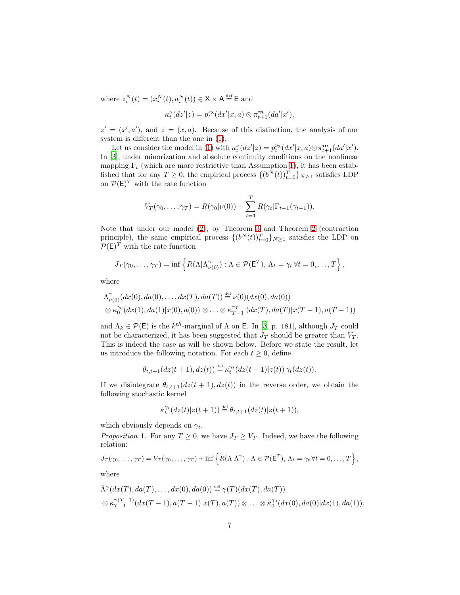where  $z_i^N(t) = (x_i^N(t), a_i^N(t)) \in \mathsf{X} \times \mathsf{A} \stackrel{\text{def}}{=} \mathsf{E}$  and

$$
\kappa_t^{\nu}(dz'|z) = p_t^{\nu x}(dx'|x, a) \otimes \pi_{t+1}^m(da'|x'),
$$

 $z' = (x', a')$ , and  $z = (x, a)$ . Because of this distinction, the analysis of our system is different than the one in [\(1\)](#page-5-1).

Let us consider the model in [\(1\)](#page-5-1) with  $\kappa_t^{\nu}(dz'|z) = p_t^{\nu_{\mathbf{x}}}(dx'|x, a) \otimes \pi_{t+1}^{\mathbf{m}}(da'|x').$ In [\[3](#page-16-5)], under minorization and absolute continuity conditions on the nonlinear mapping  $\Gamma_t$  (which are more restrictive than Assumption [1\)](#page-3-0), it has been established that for any  $T \geq 0$ , the empirical process  $\{(b^N(t))_{t=0}^T\}_{N\geq 1}$  satisfies LDP on  $\mathcal{P}(\mathsf{E})^T$  with the rate function

$$
V_T(\gamma_0,\ldots,\gamma_T)=R(\gamma_0|\nu(0))+\sum_{t=1}^T R(\gamma_t|\Gamma_{t-1}(\gamma_{t-1})).
$$

Note that under our model [\(2\)](#page-5-2), by Theorem [3](#page-4-0) and Theorem [2](#page-4-1) (contraction principle), the same empirical process  $\{(b^N(t))_{t=0}^T\}_{N\geq 1}$  satisfies the LDP on  $P(E)^T$  with the rate function

$$
J_T(\gamma_0,\ldots,\gamma_T)=\inf\left\{R(\Lambda|\Lambda_{\nu(0)}^{\gamma}): \Lambda\in\mathcal{P}(\mathsf{E}^T),\,\Lambda_t=\gamma_t\,\forall t=0,\ldots,T\right\},\,
$$

where

$$
\Lambda^{\gamma}_{\nu(0)}(dx(0), da(0), \ldots, dx(T), da(T)) \stackrel{\text{def}}{=} \nu(0)(dx(0), da(0)) \otimes \kappa^{\gamma_0}_0(dx(1), da(1)|x(0), a(0)) \otimes \ldots \otimes \kappa^{\gamma_{T-1}}_{T-1}(dx(T), da(T)|x(T-1), a(T-1))
$$

and  $\Lambda_k \in \mathcal{P}(\mathsf{E})$  is the  $k^{th}$ -marginal of  $\Lambda$  on **E**. In [\[3](#page-16-5), p. 181], although  $J_T$  could not be characterized, it has been suggested that  $J_T$  should be greater than  $V_T$ . This is indeed the case as will be shown below. Before we state the result, let us introduce the following notation. For each  $t \geq 0$ , define

$$
\theta_{t,t+1}(dz(t+1),dz(t))\stackrel{\scriptscriptstyle\rm def}{=} \kappa_t^{\gamma_t}(dz(t+1)|z(t))\,\gamma_t(dz(t)).
$$

If we disintegrate  $\theta_{t,t+1}(dz(t + 1), dz(t))$  in the reverse order, we obtain the following stochastic kernel

$$
\bar{\kappa}_t^{\gamma_t}(dz(t)|z(t+1))\stackrel{\scriptscriptstyle\rm def}{=} \theta_{t,t+1}(dz(t)|z(t+1)),
$$

which obviously depends on  $\gamma_t$ .

<span id="page-6-0"></span>*Proposition* 1. For any  $T \geq 0$ , we have  $J_T \geq V_T$ . Indeed, we have the following relation:

$$
J_T(\gamma_0,\ldots,\gamma_T)=V_T(\gamma_0,\ldots,\gamma_T)+\inf\left\{R(\Lambda|\bar{\Lambda}^{\gamma}): \Lambda\in\mathcal{P}(\mathsf{E}^T), \Lambda_t=\gamma_t\,\forall t=0,\ldots,T\right\},\,
$$

where

$$
\bar{\Lambda}^{\gamma}(dx(T), da(T),..., dx(0), da(0)) \stackrel{\text{def}}{=} \gamma(T)(dx(T), da(T)) \otimes \bar{\kappa}_{T-1}^{\gamma(T-1)}(dx(T-1), a(T-1)|x(T), a(T)) \otimes ... \otimes \bar{\kappa}_0^{\gamma_0}(dx(0), da(0)|dx(1), da(1)).
$$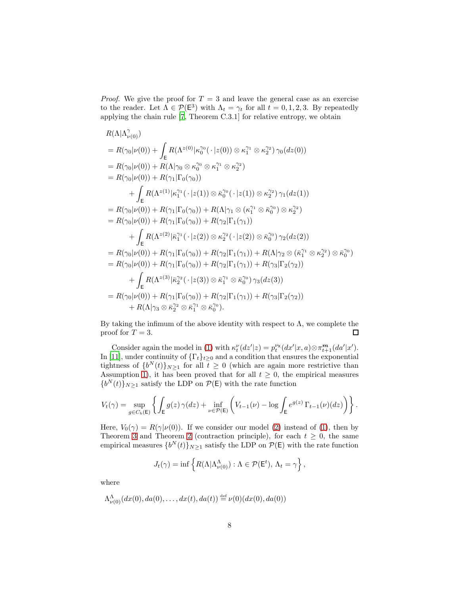*Proof.* We give the proof for  $T = 3$  and leave the general case as an exercise to the reader. Let  $\Lambda \in \mathcal{P}(\mathsf{E}^3)$  with  $\Lambda_t = \gamma_t$  for all  $t = 0, 1, 2, 3$ . By repeatedly applying the chain rule [\[7,](#page-16-6) Theorem C.3.1] for relative entropy, we obtain

$$
R(\Lambda|\Lambda_{\nu(0)}^{\gamma})
$$
  
=  $R(\gamma_0|\nu(0)) + \int_E R(\Lambda^{z(0)}|\kappa_0^{\gamma_0}(\cdot|z(0)) \otimes \kappa_1^{\gamma_1} \otimes \kappa_2^{\gamma_2}) \gamma_0(dz(0))$   
=  $R(\gamma_0|\nu(0)) + R(\Lambda|\gamma_0 \otimes \kappa_0^{\gamma_0} \otimes \kappa_1^{\gamma_1} \otimes \kappa_2^{\gamma_2})$   
=  $R(\gamma_0|\nu(0)) + R(\gamma_1|\Gamma_0(\gamma_0))$   
+  $\int_E R(\Lambda^{z(1)}|\kappa_1^{\gamma_1}(\cdot|z(1)) \otimes \bar{\kappa}_0^{\gamma_0}(\cdot|z(1)) \otimes \kappa_2^{\gamma_2}) \gamma_1(dz(1))$   
=  $R(\gamma_0|\nu(0)) + R(\gamma_1|\Gamma_0(\gamma_0)) + R(\Lambda|\gamma_1 \otimes (\kappa_1^{\gamma_1} \otimes \bar{\kappa}_0^{\gamma_0}) \otimes \kappa_2^{\gamma_2})$   
=  $R(\gamma_0|\nu(0)) + R(\gamma_1|\Gamma_0(\gamma_0)) + R(\gamma_2|\Gamma_1(\gamma_1))$   
+  $\int_E R(\Lambda^{z(2)}|\bar{\kappa}_1^{\gamma_1}(\cdot|z(2)) \otimes \kappa_2^{\gamma_2}(\cdot|z(2)) \otimes \bar{\kappa}_0^{\gamma_0}) \gamma_2(dz(2))$   
=  $R(\gamma_0|\nu(0)) + R(\gamma_1|\Gamma_0(\gamma_0)) + R(\gamma_2|\Gamma_1(\gamma_1)) + R(\Lambda|\gamma_2 \otimes (\bar{\kappa}_1^{\gamma_1} \otimes \kappa_2^{\gamma_2}) \otimes \bar{\kappa}_0^{\gamma_0})$   
=  $R(\gamma_0|\nu(0)) + R(\gamma_1|\Gamma_0(\gamma_0)) + R(\gamma_2|\Gamma_1(\gamma_1)) + R(\gamma_3|\Gamma_2(\gamma_2))$   
+  $\int_E R(\Lambda^{z(3)}|\bar{\kappa}_2^{\gamma_2}(\cdot|z(3)) \otimes \bar{\kappa}_1^{\gamma_1} \otimes \bar{\kappa}_0^{\gamma_0}) \gamma_3(dz(3))$   
=  $R(\gamma_0|\nu(0)) + R(\gamma_$ 

By taking the infimum of the above identity with respect to  $\Lambda$ , we complete the proof for  $T = 3$ .  $\Box$ 

Consider again the model in [\(1\)](#page-5-1) with  $\kappa_t^{\nu}(dz'|z) = p_t^{\nu_{\mathbf{x}}}(dx'|x, a) \otimes \pi_{t+1}^{\mathbf{m}}(da'|x').$ In [\[11](#page-17-0)], under continuity of  $\{\Gamma_t\}_{t\geq 0}$  and a condition that ensures the exponential tightness of  $\{b^N(t)\}_{N\geq 1}$  for all  $t \geq 0$  (which are again more restrictive than Assumption [1\)](#page-3-0), it has been proved that for all  $t \geq 0$ , the empirical measures  ${b^N(t)}_{N\geq 1}$  satisfy the LDP on  $P(E)$  with the rate function

$$
V_t(\gamma) = \sup_{g \in C_b(E)} \left\{ \int_E g(z) \, \gamma(dz) + \inf_{\nu \in \mathcal{P}(E)} \left( V_{t-1}(\nu) - \log \int_E e^{g(z)} \, \Gamma_{t-1}(\nu)(dz) \right) \right\}.
$$

Here,  $V_0(\gamma) = R(\gamma|\nu(0))$ . If we consider our model [\(2\)](#page-5-2) instead of [\(1\)](#page-5-1), then by Theorem [3](#page-4-0) and Theorem [2](#page-4-1) (contraction principle), for each  $t \geq 0$ , the same empirical measures  $\{b^N(t)\}_{N\geq 1}$  satisfy the LDP on  $\mathcal{P}(\mathsf{E})$  with the rate function

$$
J_t(\gamma) = \inf \left\{ R(\Lambda | \Lambda_{\nu(0)}^{\Lambda}): \Lambda \in \mathcal{P}(\mathsf{E}^t), \, \Lambda_t = \gamma \right\},\,
$$

where

$$
\Lambda_{\nu(0)}^{\Lambda}(dx(0), da(0), \ldots, dx(t), da(t)) \stackrel{\text{def}}{=} \nu(0)(dx(0), da(0))
$$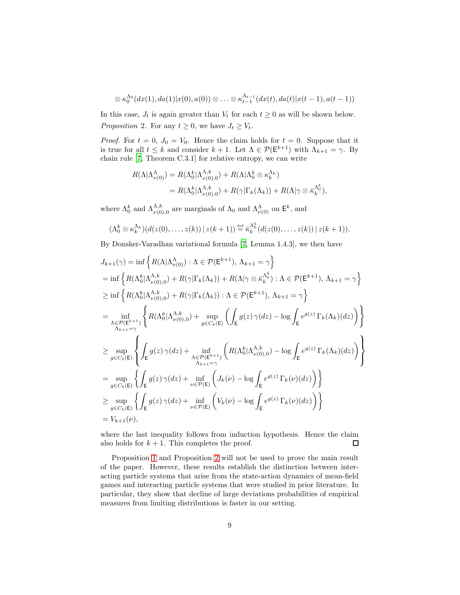$$
\otimes \kappa_0^{\Lambda_0}(dx(1),da(1)|x(0),a(0)) \otimes \ldots \otimes \kappa_{t-1}^{\Lambda_{t-1}}(dx(t),da(t)|x(t-1),a(t-1))
$$

<span id="page-8-0"></span>In this case,  $J_t$  is again greater than  $V_t$  for each  $t \geq 0$  as will be shown below. Proposition 2. For any  $t \geq 0$ , we have  $J_t \geq V_t$ .

*Proof.* For  $t = 0$ ,  $J_0 = V_0$ . Hence the claim holds for  $t = 0$ . Suppose that it is true for all  $t \leq k$  and consider  $k + 1$ . Let  $\Lambda \in \mathcal{P}(\mathsf{E}^{k+1})$  with  $\Lambda_{k+1} = \gamma$ . By chain rule [\[7,](#page-16-6) Theorem C.3.1] for relative entropy, we can write

$$
R(\Lambda|\Lambda_{\nu(0)}^{\Lambda}) = R(\Lambda_0^k|\Lambda_{\nu(0),0}^{\Lambda,k}) + R(\Lambda|\Lambda_0^k \otimes \kappa_k^{\Lambda_k})
$$
  
=  $R(\Lambda_0^k|\Lambda_{\nu(0),0}^{\Lambda,k}) + R(\gamma|\Gamma_k(\Lambda_k)) + R(\Lambda|\gamma \otimes \bar{\kappa}_k^{\Lambda_0^k}),$ 

where  $\Lambda_0^k$  and  $\Lambda_{\nu(0),0}^{\Lambda,k}$  are marginals of  $\Lambda_0$  and  $\Lambda_{\nu(0)}^{\Lambda}$  on  $\mathsf{E}^k$ , and

$$
(\Lambda_0^k \otimes \kappa_k^{\Lambda_k})\big(d(z(0),\ldots,z(k))\,\big|\,z(k+1)\big) \stackrel{\text{def}}{=} \overline{\kappa}_k^{\Lambda_0^k}\big(d(z(0),\ldots,z(k))\,\big|\,z(k+1)\big).
$$

By Donsker-Varadhan variational formula [\[7](#page-16-6), Lemma 1.4.3], we then have

$$
J_{k+1}(\gamma) = \inf \left\{ R(\Lambda | \Lambda_{\nu(0)}^{\Lambda}): \Lambda \in \mathcal{P}(\mathsf{E}^{k+1}), \Lambda_{k+1} = \gamma \right\}
$$
  
\n
$$
= \inf \left\{ R(\Lambda_0^k | \Lambda_{\nu(0),0}^{\Lambda,k}) + R(\gamma | \Gamma_k(\Lambda_k)) + R(\Lambda | \gamma \otimes \bar{\kappa}_k^{\Lambda_0^k}) : \Lambda \in \mathcal{P}(\mathsf{E}^{k+1}), \Lambda_{k+1} = \gamma \right\}
$$
  
\n
$$
\geq \inf \left\{ R(\Lambda_0^k | \Lambda_{\nu(0),0}^{\Lambda,k}) + R(\gamma | \Gamma_k(\Lambda_k)) : \Lambda \in \mathcal{P}(\mathsf{E}^{k+1}), \Lambda_{k+1} = \gamma \right\}
$$
  
\n
$$
= \inf_{\Lambda \in \mathcal{P}(\mathsf{E}^{k+1})} \left\{ R(\Lambda_0^k | \Lambda_{\nu(0),0}^{\Lambda,k}) + \sup_{g \in C_b(\mathsf{E})} \left( \int_{\mathsf{E}} g(z) \gamma(dz) - \log \int_{\mathsf{E}} e^{g(z)} \Gamma_k(\Lambda_k)(dz) \right) \right\}
$$
  
\n
$$
\geq \sup_{g \in C_b(\mathsf{E})} \left\{ \int_{\mathsf{E}} g(z) \gamma(dz) + \inf_{\Lambda_{k+1} = \gamma} \left( R(\Lambda_0^k | \Lambda_{\nu(0),0}^{\Lambda,k}) - \log \int_{\mathsf{E}} e^{g(z)} \Gamma_k(\Lambda_k)(dz) \right) \right\}
$$
  
\n
$$
= \sup_{g \in C_b(\mathsf{E})} \left\{ \int_{\mathsf{E}} g(z) \gamma(dz) + \inf_{\nu \in \mathcal{P}(\mathsf{E})} \left( J_k(\nu) - \log \int_{\mathsf{E}} e^{g(z)} \Gamma_k(\nu)(dz) \right) \right\}
$$
  
\n
$$
\geq \sup_{g \in C_b(\mathsf{E})} \left\{ \int_{\mathsf{E}} g(z) \gamma(dz) + \inf_{\nu \in \mathcal{P}(\mathsf{E})} \left( V_k(\nu) - \log \int_{\mathsf{E}} e^{g(z)} \Gamma_k(\nu)(dz) \right) \right\}
$$
  
\n
$$
= V
$$

where the last inequality follows from induction hypothesis. Hence the claim also holds for  $k + 1$ . This completes the proof.  $\Box$ 

Proposition [1](#page-6-0) and Proposition [2](#page-8-0) will not be used to prove the main result of the paper. However, these results establish the distinction between interacting particle systems that arise from the state-action dynamics of mean-field games and interacting particle systems that were studied in prior literature. In particular, they show that decline of large deviations probabilities of empirical measures from limiting distributions is faster in our setting.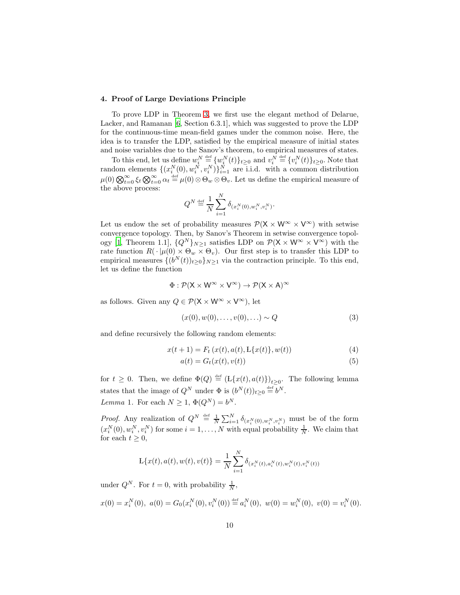### 4. Proof of Large Deviations Principle

To prove LDP in Theorem [3,](#page-4-0) we first use the elegant method of Delarue, Lacker, and Ramanan [\[6,](#page-16-1) Section 6.3.1], which was suggested to prove the LDP for the continuous-time mean-field games under the common noise. Here, the idea is to transfer the LDP, satisfied by the empirical measure of initial states and noise variables due to the Sanov's theorem, to empirical measures of states.

To this end, let us define  $w_i^N \stackrel{\text{def}}{=} \{w_i^N(t)\}_{t \geq 0}$  and  $v_i^N \stackrel{\text{def}}{=} \{v_i^N(t)\}_{t \geq 0}$ . Note that random elements  $\{(x_i^N(0), w_i^N, v_i^N)\}_{i=1}^N$  are i.i.d. with a common distribution  $\mu(0) \bigotimes_{t=0}^{\infty} \xi_t \bigotimes_{t=0}^{\infty} \alpha_t \stackrel{\text{def}}{=} \mu(0) \otimes \Theta_w \otimes \Theta_v$ . Let us define the empirical measure of the above process:

$$
Q^{N} \stackrel{\text{def}}{=} \frac{1}{N} \sum_{i=1}^{N} \delta_{(x_i^{N}(0), w_i^{N}, v_i^{N})}.
$$

Let us endow the set of probability measures  $\mathcal{P}(X \times W^{\infty} \times V^{\infty})$  with setwise convergence topology. Then, by Sanov's Theorem in setwise convergence topol-ogy [\[1,](#page-16-7) Theorem 1.1],  $\{Q^N\}_{N\geq 1}$  satisfies LDP on  $\mathcal{P}(\mathsf{X}\times \mathsf{W}^{\infty}\times \mathsf{V}^{\infty})$  with the rate function  $R(\cdot | \mu(0) \times \Theta_w \times \Theta_v)$ . Our first step is to transfer this LDP to empirical measures  $\{(b^N(t))_{t\geq0}\}_{N\geq1}$  via the contraction principle. To this end, let us define the function

$$
\Phi: \mathcal{P}(\mathsf{X}\times \mathsf{W}^\infty\times \mathsf{V}^\infty) \to \mathcal{P}(\mathsf{X}\times \mathsf{A})^\infty
$$

as follows. Given any  $Q \in \mathcal{P}(\mathsf{X} \times \mathsf{W}^{\infty} \times \mathsf{V}^{\infty})$ , let

<span id="page-9-1"></span><span id="page-9-0"></span>
$$
(x(0), w(0), \dots, v(0), \dots) \sim Q \tag{3}
$$

and define recursively the following random elements:

$$
x(t+1) = F_t(x(t), a(t), \mathcal{L}\{x(t)\}, w(t))
$$
\n(4)

$$
a(t) = G_t(x(t), v(t))
$$
\n<sup>(5)</sup>

for  $t \geq 0$ . Then, we define  $\Phi(Q) \stackrel{\text{def}}{=} (\mathcal{L}\{x(t), a(t)\})_{t \geq 0}$ . The following lemma states that the image of  $Q^N$  under  $\Phi$  is  $(b^N(t))_{t\geq 0} \stackrel{\text{def}}{=} b^N$ . Lemma 1. For each  $N \geq 1$ ,  $\Phi(Q^N) = b^N$ .

<span id="page-9-2"></span>*Proof.* Any realization of  $Q^N \stackrel{\text{def}}{=} \frac{1}{N} \sum_{i=1}^N \delta_{(x_i^N(0), w_i^N, v_i^N)}$  must be of the form  $(x_i^N(0), w_i^N, v_i^N)$  for some  $i = 1, ..., N$  with equal probability  $\frac{1}{N}$ . We claim that for each  $t \geq 0$ ,

$$
L\{x(t), a(t), w(t), v(t)\} = \frac{1}{N} \sum_{i=1}^{N} \delta_{(x_i^N(t), a_i^N(t), w_i^N(t), v_i^N(t))}
$$

under  $Q^N$ . For  $t = 0$ , with probability  $\frac{1}{N}$ ,

$$
x(0) = x_i^N(0), \ a(0) = G_0(x_i^N(0), v_i^N(0)) \stackrel{\text{def}}{=} a_i^N(0), \ w(0) = w_i^N(0), \ v(0) = v_i^N(0).
$$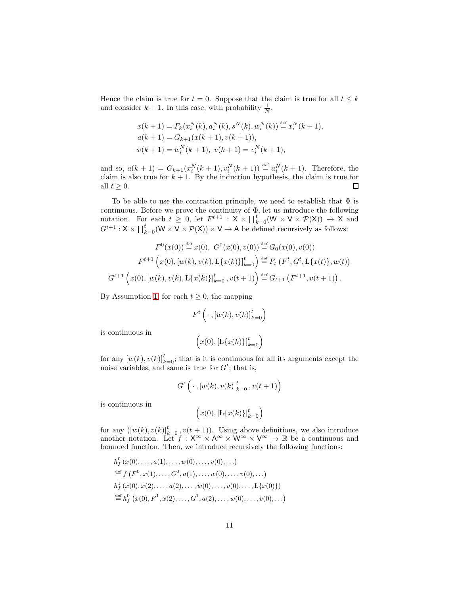Hence the claim is true for  $t = 0$ . Suppose that the claim is true for all  $t \leq k$ and consider  $k + 1$ . In this case, with probability  $\frac{1}{N}$ ,

$$
x(k + 1) = F_k(x_i^N(k), a_i^N(k), s^N(k), w_i^N(k)) \stackrel{\text{def}}{=} x_i^N(k + 1),
$$
  
\n
$$
a(k + 1) = G_{k+1}(x(k + 1), v(k + 1)),
$$
  
\n
$$
w(k + 1) = w_i^N(k + 1), v(k + 1) = v_i^N(k + 1),
$$

and so,  $a(k + 1) = G_{k+1}(x_i^N(k + 1), v_i^N(k + 1)) \stackrel{\text{def}}{=} a_i^N(k + 1)$ . Therefore, the claim is also true for  $k + 1$ . By the induction hypothesis, the claim is true for all  $t \geq 0$ .  $\Box$ 

To be able to use the contraction principle, we need to establish that  $\Phi$  is continuous. Before we prove the continuity of  $\Phi$ , let us introduce the following notation. For each  $t \geq 0$ , let  $F^{t+1} : X \times \prod_{k=0}^{t} (W \times V \times \mathcal{P}(X)) \to X$  and  $G^{t+1}: X \times \prod_{k=0}^t (W \times V \times \mathcal{P}(X)) \times V \to A$  be defined recursively as follows:

$$
F^{0}(x(0)) \stackrel{\text{def}}{=} x(0), \ G^{0}(x(0), v(0)) \stackrel{\text{def}}{=} G_{0}(x(0), v(0))
$$

$$
F^{t+1}\left(x(0), [w(k), v(k), \mathbf{L}\{x(k)\}]_{k=0}^{t}\right) \stackrel{\text{def}}{=} F_{t}\left(F^{t}, G^{t}, \mathbf{L}\{x(t)\}, w(t)\right)
$$

$$
G^{t+1}\left(x(0), [w(k), v(k), \mathbf{L}\{x(k)\}]_{k=0}^{t}, v(t+1)\right) \stackrel{\text{def}}{=} G_{t+1}\left(F^{t+1}, v(t+1)\right).
$$

By Assumption [1,](#page-3-0) for each  $t \geq 0$ , the mapping

$$
F^t\left(\,\cdot\,,\left[w(k),v(k)\right]_{k=0}^t\right)
$$

is continuous in

$$
(x(0), [L\{x(k)\}]_{k=0}^t)
$$

for any  $[w(k), v(k)]_{k=0}^t$ ; that is it is continuous for all its arguments except the noise variables, and same is true for  $G^t$ ; that is,

$$
G^t\left(\cdot,[w(k),v(k)]_{k=0}^t,v(t+1)\right)
$$

is continuous in

$$
(x(0), [L\{x(k)\}]_{k=0}^t)
$$

for any  $([w(k), v(k)]_{k=0}^{t}, v(t+1))$ . Using above definitions, we also introduce another notation. Let  $f : X^{\infty} \times A^{\infty} \times W^{\infty} \times V^{\infty} \to \mathbb{R}$  be a continuous and bounded function. Then, we introduce recursively the following functions:

$$
h_f^0(x(0),...,a(1),...,w(0),...,v(0),...)
$$
  
\n
$$
\stackrel{\text{def}}{=} f(F^0, x(1),..., G^0, a(1),...,w(0),...,v(0),...)
$$
  
\n
$$
h_f^1(x(0), x(2),...,a(2),...,w(0),...,v(0),...,L\{x(0)\})
$$
  
\n
$$
\stackrel{\text{def}}{=} h_f^0(x(0), F^1, x(2),..., G^1, a(2),...,w(0),...,v(0),...)
$$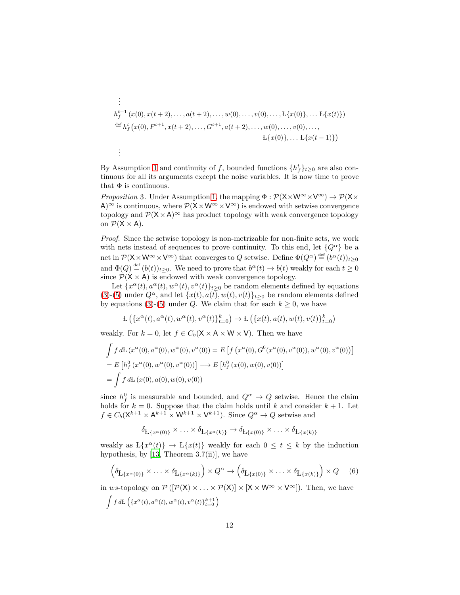$$
\begin{aligned}\n\vdots \\
h_f^{t+1}(x(0), x(t+2), \dots, a(t+2), \dots, w(0), \dots, v(0), \dots, L\{x(0)\}, \dots, L\{x(t)\}) \\
&\stackrel{\text{def}}{=} h_f^t(x(0), F^{t+1}, x(t+2), \dots, G^{t+1}, a(t+2), \dots, w(0), \dots, v(0), \dots, \\
&\quad \qquad L\{x(0)\}, \dots, L\{x(t-1)\}\n\end{aligned}
$$

.

By Assumption [1](#page-3-0) and continuity of f, bounded functions  $\{h_f^t\}_{t\geq 0}$  are also continuous for all its arguments except the noise variables. It is now time to prove that  $\Phi$  is continuous.

<span id="page-11-1"></span>*Proposition* 3. Under Assumption [1,](#page-3-0) the mapping  $\Phi : \mathcal{P}(\mathsf{X} \times \mathsf{W}^{\infty} \times \mathsf{V}^{\infty}) \to \mathcal{P}(\mathsf{X} \times \mathsf{W}^{\infty} \times \mathsf{V}^{\infty})$ A)<sup>∞</sup> is continuous, where  $\mathcal{P}(X\times W^{\infty}\times V^{\infty})$  is endowed with setwise convergence topology and  $\mathcal{P}(X \times A)$ <sup>∞</sup> has product topology with weak convergence topology on  $\mathcal{P}(X \times A)$ .

Proof. Since the setwise topology is non-metrizable for non-finite sets, we work with nets instead of sequences to prove continuity. To this end, let  ${Q^{\alpha}}$  be a net in  $\mathcal{P}(\mathsf{X} \times \mathsf{W}^{\infty} \times \mathsf{V}^{\infty})$  that converges to Q setwise. Define  $\Phi(Q^{\alpha}) \stackrel{\text{def}}{=} (b^{\alpha}(t))_{t \geq 0}$ and  $\Phi(Q) \stackrel{\text{def}}{=} (b(t))_{t \geq 0}$ . We need to prove that  $b^{\alpha}(t) \to b(t)$  weakly for each  $t \geq 0$ since  $\mathcal{P}(X \times A)$  is endowed with weak convergence topology.

Let  $\{x^{\alpha}(t), a^{\alpha}(t), w^{\alpha}(t), v^{\alpha}(t)\}_{t\geq 0}$  be random elements defined by equations [\(3\)](#page-9-0)-[\(5\)](#page-9-1) under  $Q^{\alpha}$ , and let  $\{x(t), a(t), w(t), v(t)\}_{t>0}$  be random elements defined by equations [\(3\)](#page-9-0)-[\(5\)](#page-9-1) under Q. We claim that for each  $k \geq 0$ , we have

$$
\mathcal{L}\left(\left\{x^{\alpha}(t), a^{\alpha}(t), w^{\alpha}(t), v^{\alpha}(t)\right\}_{t=0}^{k}\right) \to \mathcal{L}\left(\left\{x(t), a(t), w(t), v(t)\right\}_{t=0}^{k}\right)
$$

weakly. For  $k = 0$ , let  $f \in C_b(\mathsf{X} \times \mathsf{A} \times \mathsf{W} \times \mathsf{V})$ . Then we have

$$
\int f dL(x^{\alpha}(0), a^{\alpha}(0), w^{\alpha}(0), v^{\alpha}(0)) = E \left[ f(x^{\alpha}(0), G^{0}(x^{\alpha}(0), v^{\alpha}(0)), w^{\alpha}(0), v^{\alpha}(0)) \right]
$$
  
=  $E \left[ h_f^{0}(x^{\alpha}(0), w^{\alpha}(0), v^{\alpha}(0)) \right] \longrightarrow E \left[ h_f^{0}(x(0), w(0), v(0)) \right]$   
=  $\int f dL(x(0), a(0), w(0), v(0))$ 

since  $h_f^0$  is measurable and bounded, and  $Q^{\alpha} \rightarrow Q$  setwise. Hence the claim find  $h_f$  is measurable and bounded, and  $g \rightarrow g$  setwhere the claim holds for  $k = 0$ . Suppose that the claim holds until k and consider  $k + 1$ . Let  $f \in C_b(\mathsf{X}^{k+1} \times \mathsf{A}^{k+1} \times \mathsf{W}^{k+1} \times \mathsf{V}^{k+1})$ . Since  $Q^{\alpha} \to Q$  setwise and

<span id="page-11-0"></span>
$$
\delta_{L\{x^{\alpha}(0)\}} \times \ldots \times \delta_{L\{x^{\alpha}(k)\}} \to \delta_{L\{x(0)\}} \times \ldots \times \delta_{L\{x(k)\}}
$$

weakly as  $L\{x^{\alpha}(t)\}\rightarrow L\{x(t)\}\$  weakly for each  $0\leq t\leq k$  by the induction hypothesis, by  $[13,$  Theorem 3.7(ii)], we have

$$
\left(\delta_{L\{x^{\alpha}(0)\}} \times \ldots \times \delta_{L\{x^{\alpha}(k)\}}\right) \times Q^{\alpha} \to \left(\delta_{L\{x(0)\}} \times \ldots \times \delta_{L\{x(k)\}}\right) \times Q \quad (6)
$$

in ws-topology on  $\mathcal{P}([\mathcal{P}(X) \times ... \times \mathcal{P}(X)] \times [X \times W^{\infty} \times V^{\infty}]$ . Then, we have

$$
f d\mathcal{L}\left(\{x^{\alpha}(t), a^{\alpha}(t), w^{\alpha}(t), v^{\alpha}(t)\}_{t=0}^{k+1}\right)
$$

Z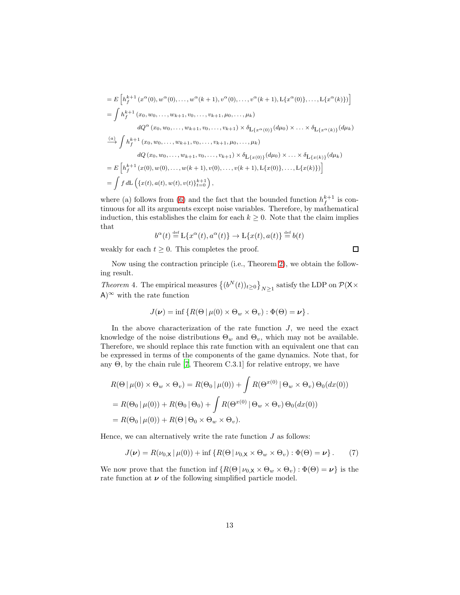$$
= E\left[h_f^{k+1}(x^{\alpha}(0), w^{\alpha}(0), \dots, w^{\alpha}(k+1), v^{\alpha}(0), \dots, v^{\alpha}(k+1), L\{x^{\alpha}(0)\}, \dots, L\{x^{\alpha}(k)\})\right]
$$
  
\n
$$
= \int h_f^{k+1}(x_0, w_0, \dots, w_{k+1}, v_0, \dots, v_{k+1}, \mu_0, \dots, \mu_k)
$$
  
\n
$$
dQ^{\alpha}(x_0, w_0, \dots, w_{k+1}, v_0, \dots, v_{k+1}) \times \delta_{L\{x^{\alpha}(0)\}}(d\mu_0) \times \dots \times \delta_{L\{x^{\alpha}(k)\}}(d\mu_k)
$$
  
\n
$$
\xrightarrow{\text{(a)}} \int h_f^{k+1}(x_0, w_0, \dots, w_{k+1}, v_0, \dots, v_{k+1}, \mu_0, \dots, \mu_k)
$$
  
\n
$$
dQ(x_0, w_0, \dots, w_{k+1}, v_0, \dots, v_{k+1}) \times \delta_{L\{x(0)\}}(d\mu_0) \times \dots \times \delta_{L\{x(k)\}}(d\mu_k)
$$
  
\n
$$
= E\left[h_f^{k+1}(x(0), w(0), \dots, w(k+1), v(0), \dots, v(k+1), L\{x(0)\}, \dots, L\{x(k)\})\right]
$$
  
\n
$$
= \int f dL\left(\{x(t), a(t), w(t), v(t)\}_{t=0}^{k+1}\right),
$$

where (a) follows from [\(6\)](#page-11-0) and the fact that the bounded function  $h_f^{k+1}$  is continuous for all its arguments except noise variables. Therefore, by mathematical induction, this establishes the claim for each  $k \geq 0$ . Note that the claim implies that

$$
b^{\alpha}(t) \stackrel{\text{def}}{=} \mathcal{L}\{x^{\alpha}(t), a^{\alpha}(t)\} \to \mathcal{L}\{x(t), a(t)\} \stackrel{\text{def}}{=} b(t)
$$

weakly for each  $t \geq 0$ . This completes the proof.

<span id="page-12-0"></span> $\Box$ 

Now using the contraction principle (i.e., Theorem [2\)](#page-4-1), we obtain the following result.

Theorem 4. The empirical measures  $\left\{(b^N(t))_{t\geq0}\right\}_{N\geq1}$  satisfy the LDP on  $\mathcal{P}({\sf X}\times$ A)<sup>∞</sup> with the rate function

$$
J(\nu) = \inf \left\{ R(\Theta \mid \mu(0) \times \Theta_w \times \Theta_v) : \Phi(\Theta) = \nu \right\}.
$$

In the above characterization of the rate function  $J$ , we need the exact knowledge of the noise distributions  $\Theta_w$  and  $\Theta_v$ , which may not be available. Therefore, we should replace this rate function with an equivalent one that can be expressed in terms of the components of the game dynamics. Note that, for any  $\Theta$ , by the chain rule [\[7,](#page-16-6) Theorem C.3.1] for relative entropy, we have

$$
R(\Theta \mid \mu(0) \times \Theta_w \times \Theta_v) = R(\Theta_0 \mid \mu(0)) + \int R(\Theta^{x(0)} \mid \Theta_w \times \Theta_v) \Theta_0(dx(0))
$$
  
=  $R(\Theta_0 \mid \mu(0)) + R(\Theta_0 \mid \Theta_0) + \int R(\Theta^{x(0)} \mid \Theta_w \times \Theta_v) \Theta_0(dx(0))$   
=  $R(\Theta_0 \mid \mu(0)) + R(\Theta \mid \Theta_0 \times \Theta_w \times \Theta_v).$ 

Hence, we can alternatively write the rate function  $J$  as follows:

$$
J(\nu) = R(\nu_{0,X} | \mu(0)) + \inf \{ R(\Theta | \nu_{0,X} \times \Theta_w \times \Theta_v) : \Phi(\Theta) = \nu \}.
$$
 (7)

We now prove that the function inf  $\{R(\Theta | \nu_{0,X} \times \Theta_w \times \Theta_v) : \Phi(\Theta) = \nu\}$  is the rate function at  $\nu$  of the following simplified particle model.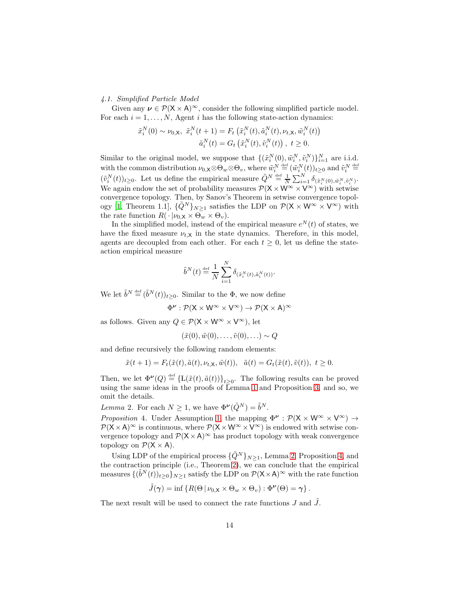<span id="page-13-2"></span>4.1. Simplified Particle Model

Given any  $v \in \mathcal{P}(X \times A)^\infty$ , consider the following simplified particle model. For each  $i = 1, \ldots, N$ , Agent i has the following state-action dynamics:

$$
\tilde{x}_i^N(0) \sim \nu_{0,X}, \ \tilde{x}_i^N(t+1) = F_t\left(\tilde{x}_i^N(t), \tilde{a}_i^N(t), \nu_{t,X}, \tilde{w}_i^N(t)\right) \tilde{a}_i^N(t) = G_t\left(\tilde{x}_i^N(t), \tilde{v}_i^N(t)\right), \ t \ge 0.
$$

Similar to the original model, we suppose that  $\{(\tilde{x}_i^N(0), \tilde{w}_i^N, \tilde{v}_i^N)\}_{i=1}^N$  are i.i.d. with the common distribution  $\nu_{0,\mathsf{X}} \otimes \Theta_w \otimes \Theta_v$ , where  $\tilde{w}_i^N \stackrel{\text{def}}{=} (\tilde{w}_i^N(t))_{t \geq 0}$  and  $\tilde{v}_i^N \stackrel{\text{def}}{=}$  $(\tilde{v}_i^N(t))_{t\geq 0}$ . Let us define the empirical measure  $\tilde{Q}^N \stackrel{\text{def}}{=} \frac{1}{N} \sum_{i=1}^N \delta_{(\tilde{x}_i^N(0), \tilde{w}_i^N, \tilde{v}_i^N)}$ . We again endow the set of probability measures  $\mathcal{P}(X \times W^{\infty} \times V^{\infty})$  with setwise convergence topology. Then, by Sanov's Theorem in setwise convergence topol-ogy [\[1,](#page-16-7) Theorem 1.1],  $\{\hat{Q}^N\}_{N\geq 1}$  satisfies the LDP on  $\mathcal{P}(\mathsf{X} \times \mathsf{W}^{\infty} \times \mathsf{V}^{\infty})$  with the rate function  $R(\cdot | \nu_{0,X} \times \Theta_w \times \Theta_v)$ .

In the simplified model, instead of the empirical measure  $e^N(t)$  of states, we have the fixed measure  $\nu_{t,X}$  in the state dynamics. Therefore, in this model, agents are decoupled from each other. For each  $t \geq 0$ , let us define the stateaction empirical measure

$$
\tilde{b}^N(t) \stackrel{\text{def}}{=} \frac{1}{N} \sum_{i=1}^N \delta_{(\tilde{x}_i^N(t), \tilde{a}_i^N(t))}.
$$

We let  $\tilde{b}^N \stackrel{\text{def}}{=} (\tilde{b}^N(t))_{t \geq 0}$ . Similar to the  $\Phi$ , we now define

 $\Phi^{\nu} : \mathcal{P}(\mathsf{X} \times \mathsf{W}^{\infty} \times \mathsf{V}^{\infty}) \to \mathcal{P}(\mathsf{X} \times \mathsf{A})^{\infty}$ 

as follows. Given any  $Q \in \mathcal{P}(\mathsf{X} \times \mathsf{W}^{\infty} \times \mathsf{V}^{\infty})$ , let

$$
(\tilde{x}(0), \tilde{w}(0), \ldots, \tilde{v}(0), \ldots) \sim Q
$$

and define recursively the following random elements:

$$
\tilde{x}(t+1) = F_t(\tilde{x}(t), \tilde{a}(t), \nu_{t,X}, \tilde{w}(t)), \quad \tilde{a}(t) = G_t(\tilde{x}(t), \tilde{v}(t)), \quad t \ge 0.
$$

Then, we let  $\Phi^{\nu}(Q) \stackrel{\text{def}}{=} {\{\mathcal{L}(\tilde{x}(t),\tilde{a}(t))\}}_{t\geq 0}$ . The following results can be proved using the same ideas in the proofs of Lemma [1](#page-9-2) and Proposition [3,](#page-11-1) and so, we omit the details.

<span id="page-13-0"></span>Lemma 2. For each  $N \geq 1$ , we have  $\Phi^{\nu}(\tilde{Q}^N) = \tilde{b}^N$ .

<span id="page-13-1"></span>Proposition 4. Under Assumption [1,](#page-3-0) the mapping  $\Phi^{\nu} : \mathcal{P}(\mathsf{X} \times \mathsf{W}^{\infty} \times \mathsf{V}^{\infty}) \rightarrow$  $\mathcal{P}(X\times A)^\infty$  is continuous, where  $\mathcal{P}(X\times W^\infty\times V^\infty)$  is endowed with setwise convergence topology and  $\mathcal{P}(X \times A)^\infty$  has product topology with weak convergence topology on  $\mathcal{P}(X \times A)$ .

Using LDP of the empirical process  $\{\tilde{Q}^N\}_{N\geq 1}$ , Lemma [2,](#page-13-0) Proposition [4,](#page-13-1) and the contraction principle (i.e., Theorem [2\)](#page-4-1), we can conclude that the empirical measures  $\{(\tilde{b}^N(t))_{t\geq0}\}_{N\geq1}$  satisfy the LDP on  $\mathcal{P}(\mathsf{X}\times\mathsf{A})^{\infty}$  with the rate function

$$
\tilde{J}(\boldsymbol{\gamma}) = \inf \left\{ R(\Theta \, | \, \nu_{0,\mathsf{X}} \times \Theta_w \times \Theta_v) : \Phi^{\boldsymbol{\nu}}(\Theta) = \boldsymbol{\gamma} \right\}.
$$

The next result will be used to connect the rate functions  $J$  and  $J$ .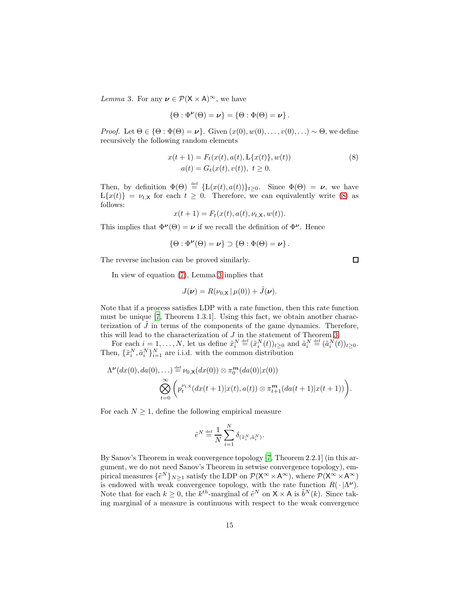<span id="page-14-1"></span>Lemma 3. For any  $\nu \in \mathcal{P}(\mathsf{X} \times \mathsf{A})^{\infty}$ , we have

$$
\{\Theta : \Phi^{\nu}(\Theta) = \nu\} = \{\Theta : \Phi(\Theta) = \nu\}.
$$

*Proof.* Let  $\Theta \in \{ \Theta : \Phi(\Theta) = \nu \}.$  Given  $(x(0), w(0), \ldots, v(0), ...) \sim \Theta$ , we define recursively the following random elements

$$
x(t+1) = F_t(x(t), a(t), \mathcal{L}\{x(t)\}, w(t))
$$
  
\n
$$
a(t) = G_t(x(t), v(t)), \ t \ge 0.
$$
\n(8)

Then, by definition  $\Phi(\Theta) \stackrel{\text{def}}{=} {\{L(x(t), a(t))\}_{t \geq 0}}$ . Since  $\Phi(\Theta) = \nu$ , we have  $L\{x(t)\} = \nu_{t,\mathsf{X}}$  for each  $t \geq 0$ . Therefore, we can equivalently write [\(8\)](#page-14-0) as follows:

$$
x(t+1) = Ft(x(t), a(t), \nut, x, w(t)).
$$

This implies that  $\Phi^{\nu}(\Theta) = \nu$  if we recall the definition of  $\Phi^{\nu}$ . Hence

$$
\{\Theta: \Phi^{\nu}(\Theta) = \nu\} \supset \{\Theta: \Phi(\Theta) = \nu\}.
$$

The reverse inclusion can be proved similarly.

In view of equation [\(7\)](#page-12-0), Lemma [3](#page-14-1) implies that

$$
J(\boldsymbol{\nu}) = R(\nu_{0,X} | \mu(0)) + \tilde{J}(\boldsymbol{\nu}).
$$

Note that if a process satisfies LDP with a rate function, then this rate function must be unique [\[7,](#page-16-6) Theorem 1.3.1]. Using this fact, we obtain another characterization of  $\tilde{J}$  in terms of the components of the game dynamics. Therefore, this will lead to the characterization of J in the statement of Theorem [3.](#page-4-0)

For each  $i = 1, ..., N$ , let us define  $\tilde{x}_i^N \stackrel{\text{def}}{=} (\tilde{x}_i^N(t))_{t \geq 0}$  and  $\tilde{a}_i^N \stackrel{\text{def}}{=} (\tilde{a}_i^N(t))_{t \geq 0}$ . Then,  $\{\tilde{x}_i^N, \tilde{a}_i^N\}_{i=1}^N$  are i.i.d. with the common distribution

$$
\Lambda^{\nu}(dx(0), da(0), \dots) \stackrel{\text{def}}{=} \nu_{0,\mathsf{X}}(dx(0)) \otimes \pi_0^{\mathsf{m}}(da(0)|x(0))
$$

$$
\bigotimes_{t=0}^{\infty} \left( p_t^{\nu_{t,\mathsf{X}}}(dx(t+1)|x(t), a(t)) \otimes \pi_{t+1}^{\mathsf{m}}(da(t+1)|x(t+1)) \right).
$$

For each  $N \geq 1$ , define the following empirical measure

$$
\tilde{e}^N \stackrel{\text{\tiny def}}{=} \frac{1}{N} \sum_{i=1}^N \delta_{(\tilde{x}_i^N, \tilde{a}_i^N)}.
$$

By Sanov's Theorem in weak convergence topology [\[7,](#page-16-6) Theorem 2.2.1] (in this argument, we do not need Sanov's Theorem in setwise convergence topology), empirical measures  $\{\tilde{e}^N\}_{N\geq 1}$  satisfy the LDP on  $\mathcal{P}(\mathsf{X}^{\infty}\times\mathsf{A}^{\infty})$ , where  $\mathcal{P}(\mathsf{X}^{\infty}\times\mathsf{A}^{\infty})$ is endowed with weak convergence topology, with the rate function  $R(\cdot | \Lambda^{\nu})$ . Note that for each  $k \geq 0$ , the  $k^{th}$ -marginal of  $\tilde{e}^N$  on  $X \times A$  is  $\tilde{b}^N(k)$ . Since taking marginal of a measure is continuous with respect to the weak convergence

<span id="page-14-0"></span> $\Box$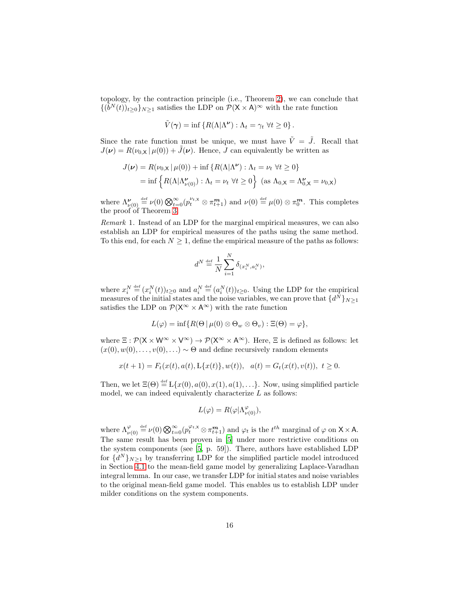topology, by the contraction principle (i.e., Theorem [2\)](#page-4-1), we can conclude that  $\{(\tilde{b}^N(t))_{t\geq0}\}_{N\geq1}$  satisfies the LDP on  $\mathcal{P}(\mathsf{X}\times\mathsf{A})^{\infty}$  with the rate function

$$
\tilde{V}(\gamma) = \inf \{ R(\Lambda | \Lambda^{\nu}) : \Lambda_t = \gamma_t \ \forall t \geq 0 \}.
$$

Since the rate function must be unique, we must have  $\tilde{V} = \tilde{J}$ . Recall that  $J(\nu) = R(\nu_0 \times | \mu(0)) + \tilde{J}(\nu)$ . Hence, J can equivalently be written as

$$
J(\nu) = R(\nu_{0,X} | \mu(0)) + \inf \{ R(\Lambda | \Lambda^{\nu}) : \Lambda_t = \nu_t \ \forall t \ge 0 \}
$$
  
= 
$$
\inf \{ R(\Lambda | \Lambda^{\nu}_{\nu(0)}) : \Lambda_t = \nu_t \ \forall t \ge 0 \} \text{ (as } \Lambda_{0,X} = \Lambda^{\nu}_{0,X} = \nu_{0,X})
$$

where  $\Lambda_{\nu(0)}^{\nu} \stackrel{\text{def}}{=} \nu(0) \bigotimes_{t=0}^{\infty} (p_t^{\nu_{t,X}} \otimes \pi_{t+1}^{\mathbf{m}})$  and  $\nu(0) \stackrel{\text{def}}{=} \mu(0) \otimes \pi_0^{\mathbf{m}}$ . This completes the proof of Theorem [3.](#page-4-0)

<span id="page-15-0"></span>Remark 1. Instead of an LDP for the marginal empirical measures, we can also establish an LDP for empirical measures of the paths using the same method. To this end, for each  $N \geq 1$ , define the empirical measure of the paths as follows:

$$
d^N \stackrel{\text{\tiny def}}{=} \frac{1}{N} \sum_{i=1}^N \delta_{(x_i^N, a_i^N)},
$$

where  $x_i^N \stackrel{\text{def}}{=} (x_i^N(t))_{t \geq 0}$  and  $a_i^N \stackrel{\text{def}}{=} (a_i^N(t))_{t \geq 0}$ . Using the LDP for the empirical measures of the initial states and the noise variables, we can prove that  $\{d^N\}_{N\geq 1}$ satisfies the LDP on  $\mathcal{P}(\mathsf{X}^{\infty} \times \mathsf{A}^{\infty})$  with the rate function

$$
L(\varphi) = \inf \{ R(\Theta | \mu(0) \otimes \Theta_w \otimes \Theta_v) : \Xi(\Theta) = \varphi \},
$$

where  $\Xi : \mathcal{P}(\mathsf{X} \times \mathsf{W}^{\infty} \times \mathsf{V}^{\infty}) \to \mathcal{P}(\mathsf{X}^{\infty} \times \mathsf{A}^{\infty})$ . Here,  $\Xi$  is defined as follows: let  $(x(0), w(0), \ldots, v(0), \ldots) \sim \Theta$  and define recursively random elements

$$
x(t+1) = F_t(x(t), a(t), \mathcal{L}\{x(t)\}, w(t)), \quad a(t) = G_t(x(t), v(t)), \quad t \ge 0.
$$

Then, we let  $\Xi(\Theta) \stackrel{\text{def}}{=} L\{x(0), a(0), x(1), a(1), \ldots\}$ . Now, using simplified particle model, we can indeed equivalently characterize  $L$  as follows:

$$
L(\varphi) = R(\varphi | \Lambda_{\nu(0)}^{\varphi}),
$$

where  $\Lambda_{\nu(0)}^{\varphi} \stackrel{\text{def}}{=} \nu(0) \bigotimes_{t=0}^{\infty} (p_t^{\varphi_{t,X}} \otimes \pi_{t+1}^{\mathbf{m}})$  and  $\varphi_t$  is the  $t^{th}$  marginal of  $\varphi$  on  $X \times A$ . The same result has been proven in [\[5\]](#page-16-4) under more restrictive conditions on the system components (see [\[5](#page-16-4), p. 59]). There, authors have established LDP for  $\{d^N\}_{N\geq 1}$  by transferring LDP for the simplified particle model introduced in Section [4.1](#page-13-2) to the mean-field game model by generalizing Laplace-Varadhan integral lemma. In our case, we transfer LDP for initial states and noise variables to the original mean-field game model. This enables us to establish LDP under milder conditions on the system components.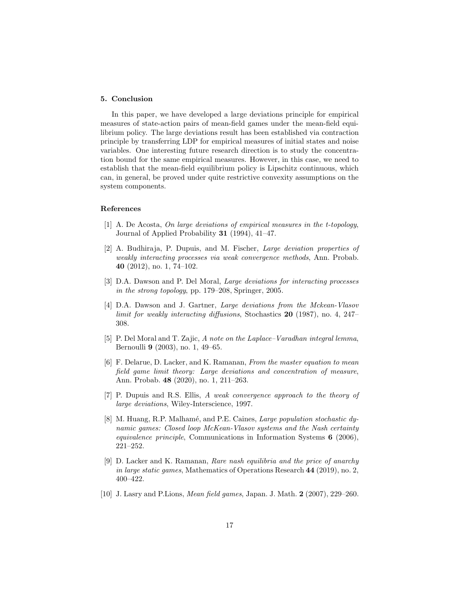# 5. Conclusion

In this paper, we have developed a large deviations principle for empirical measures of state-action pairs of mean-field games under the mean-field equilibrium policy. The large deviations result has been established via contraction principle by transferring LDP for empirical measures of initial states and noise variables. One interesting future research direction is to study the concentration bound for the same empirical measures. However, in this case, we need to establish that the mean-field equilibrium policy is Lipschitz continuous, which can, in general, be proved under quite restrictive convexity assumptions on the system components.

# References

- <span id="page-16-7"></span>[1] A. De Acosta, On large deviations of empirical measures in the t-topology, Journal of Applied Probability 31 (1994), 41–47.
- <span id="page-16-3"></span>[2] A. Budhiraja, P. Dupuis, and M. Fischer, Large deviation properties of weakly interacting processes via weak convergence methods, Ann. Probab. 40 (2012), no. 1, 74–102.
- <span id="page-16-5"></span>[3] D.A. Dawson and P. Del Moral, Large deviations for interacting processes in the strong topology, pp. 179–208, Springer, 2005.
- <span id="page-16-2"></span>[4] D.A. Dawson and J. Gartner, Large deviations from the Mckean-Vlasov limit for weakly interacting diffusions, Stochastics 20 (1987), no. 4, 247– 308.
- <span id="page-16-4"></span>[5] P. Del Moral and T. Zajic, A note on the Laplace–Varadhan integral lemma, Bernoulli 9 (2003), no. 1, 49–65.
- <span id="page-16-1"></span>[6] F. Delarue, D. Lacker, and K. Ramanan, From the master equation to mean field game limit theory: Large deviations and concentration of measure, Ann. Probab. 48 (2020), no. 1, 211–263.
- <span id="page-16-6"></span>[7] P. Dupuis and R.S. Ellis, A weak convergence approach to the theory of large deviations, Wiley-Interscience, 1997.
- [8] M. Huang, R.P. Malhamé, and P.E. Caines, *Large population stochastic dy*namic games: Closed loop McKean-Vlasov systems and the Nash certainty equivalence principle, Communications in Information Systems 6 (2006), 221–252.
- <span id="page-16-0"></span>[9] D. Lacker and K. Ramanan, Rare nash equilibria and the price of anarchy in large static games, Mathematics of Operations Research  $44$  (2019), no. 2, 400–422.
- [10] J. Lasry and P.Lions, Mean field games, Japan. J. Math. 2 (2007), 229–260.